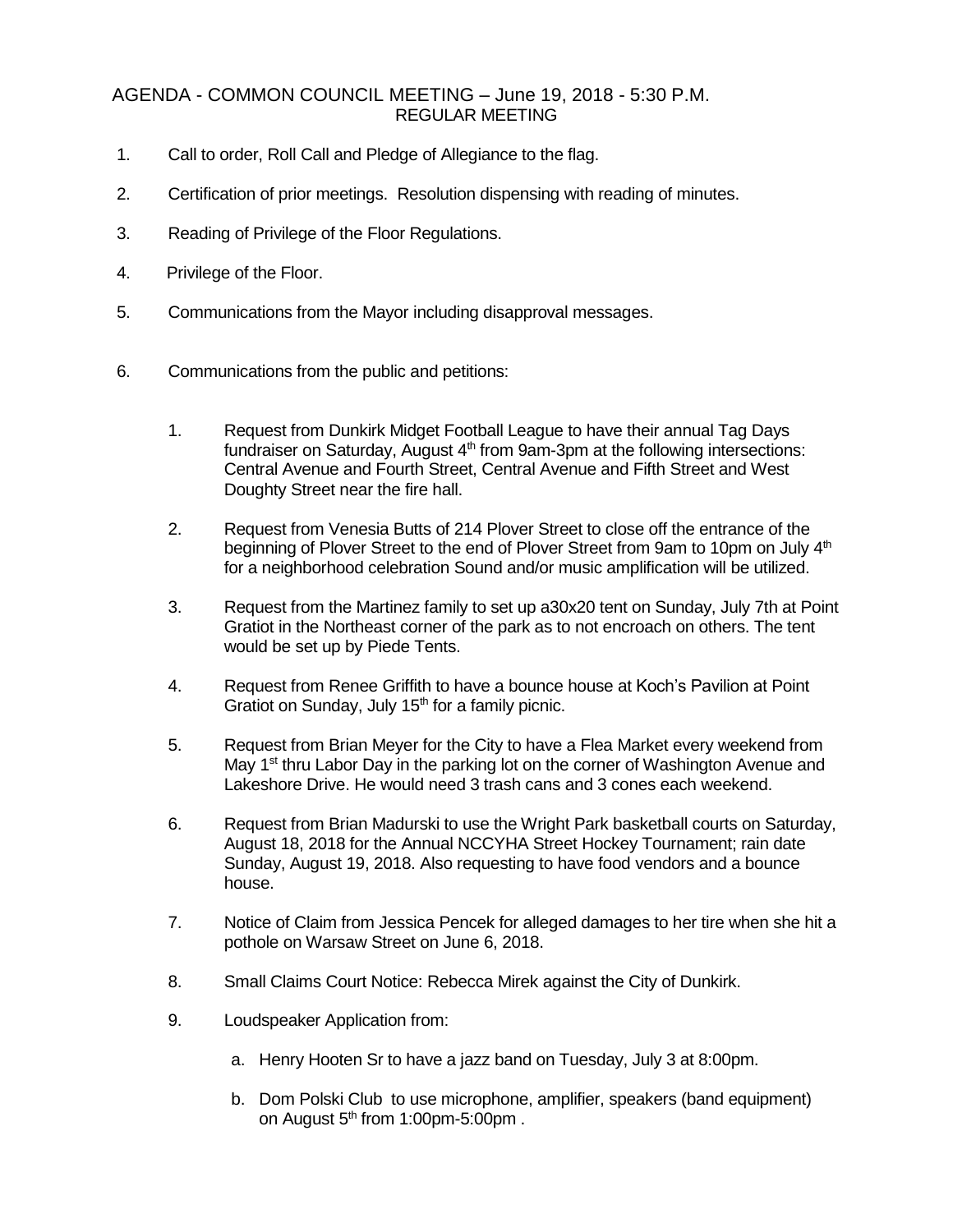## AGENDA - COMMON COUNCIL MEETING – June 19, 2018 - 5:30 P.M. REGULAR MEETING

- 1. Call to order, Roll Call and Pledge of Allegiance to the flag.
- 2. Certification of prior meetings. Resolution dispensing with reading of minutes.
- 3. Reading of Privilege of the Floor Regulations.
- 4. Privilege of the Floor.
- 5. Communications from the Mayor including disapproval messages.
- 6. Communications from the public and petitions:
	- 1. Request from Dunkirk Midget Football League to have their annual Tag Days fundraiser on Saturday, August  $4<sup>th</sup>$  from 9am-3pm at the following intersections: Central Avenue and Fourth Street, Central Avenue and Fifth Street and West Doughty Street near the fire hall.
	- 2. Request from Venesia Butts of 214 Plover Street to close off the entrance of the beginning of Plover Street to the end of Plover Street from 9am to 10pm on July 4<sup>th</sup> for a neighborhood celebration Sound and/or music amplification will be utilized.
	- 3. Request from the Martinez family to set up a30x20 tent on Sunday, July 7th at Point Gratiot in the Northeast corner of the park as to not encroach on others. The tent would be set up by Piede Tents.
	- 4. Request from Renee Griffith to have a bounce house at Koch's Pavilion at Point Gratiot on Sunday, July  $15<sup>th</sup>$  for a family picnic.
	- 5. Request from Brian Meyer for the City to have a Flea Market every weekend from May 1<sup>st</sup> thru Labor Day in the parking lot on the corner of Washington Avenue and Lakeshore Drive. He would need 3 trash cans and 3 cones each weekend.
	- 6. Request from Brian Madurski to use the Wright Park basketball courts on Saturday, August 18, 2018 for the Annual NCCYHA Street Hockey Tournament; rain date Sunday, August 19, 2018. Also requesting to have food vendors and a bounce house.
	- 7. Notice of Claim from Jessica Pencek for alleged damages to her tire when she hit a pothole on Warsaw Street on June 6, 2018.
	- 8. Small Claims Court Notice: Rebecca Mirek against the City of Dunkirk.
	- 9. Loudspeaker Application from:
		- a. Henry Hooten Sr to have a jazz band on Tuesday, July 3 at 8:00pm.
		- b. Dom Polski Club to use microphone, amplifier, speakers (band equipment) on August  $5<sup>th</sup>$  from 1:00pm-5:00pm.